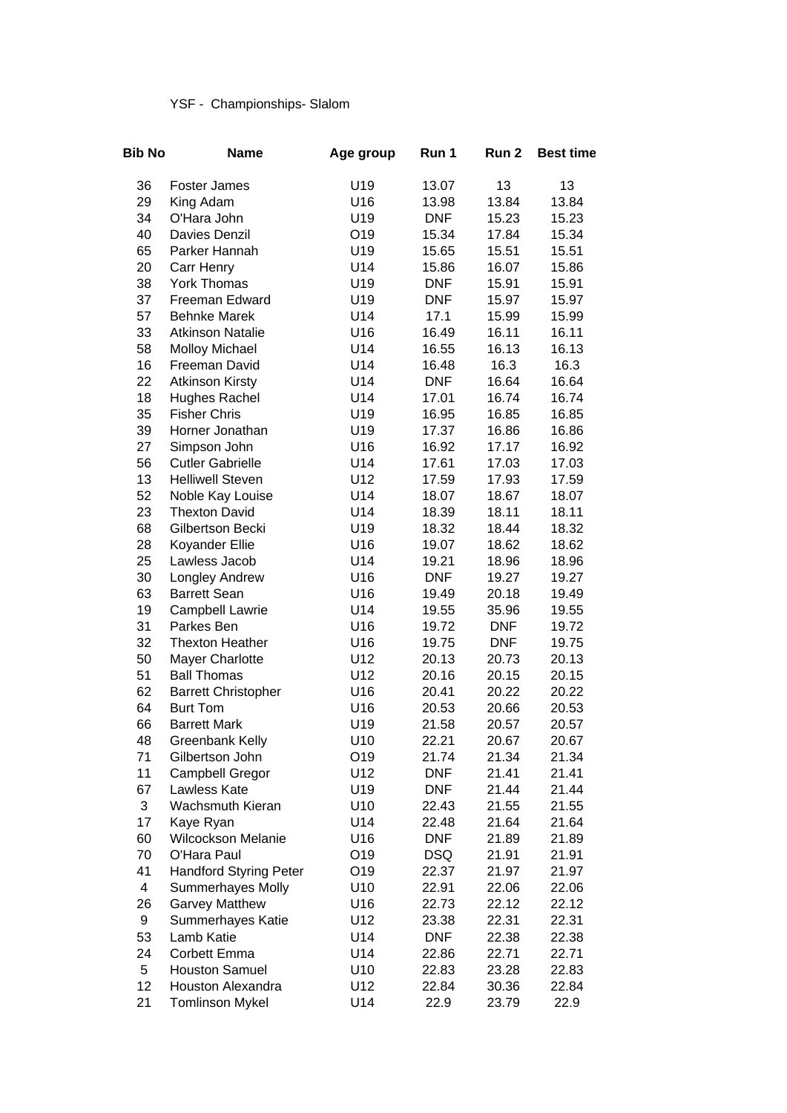## YSF - Championships- Slalom

| Bib No | <b>Name</b>                   | Age group | Run 1      | Run <sub>2</sub> | <b>Best time</b> |
|--------|-------------------------------|-----------|------------|------------------|------------------|
| 36     | <b>Foster James</b>           | U19       | 13.07      | 13               | 13               |
| 29     | King Adam                     | U16       | 13.98      | 13.84            | 13.84            |
| 34     | O'Hara John                   | U19       | <b>DNF</b> | 15.23            | 15.23            |
| 40     | <b>Davies Denzil</b>          | O19       | 15.34      | 17.84            | 15.34            |
| 65     | Parker Hannah                 | U19       | 15.65      | 15.51            | 15.51            |
| 20     | Carr Henry                    | U14       | 15.86      | 16.07            | 15.86            |
| 38     | <b>York Thomas</b>            | U19       | <b>DNF</b> | 15.91            | 15.91            |
| 37     | Freeman Edward                | U19       | <b>DNF</b> | 15.97            | 15.97            |
| 57     | <b>Behnke Marek</b>           | U14       | 17.1       | 15.99            | 15.99            |
| 33     | <b>Atkinson Natalie</b>       | U16       | 16.49      | 16.11            | 16.11            |
| 58     | <b>Molloy Michael</b>         | U14       | 16.55      | 16.13            | 16.13            |
| 16     | Freeman David                 | U14       | 16.48      | 16.3             | 16.3             |
| 22     | <b>Atkinson Kirsty</b>        | U14       | <b>DNF</b> | 16.64            | 16.64            |
| 18     | <b>Hughes Rachel</b>          | U14       | 17.01      | 16.74            | 16.74            |
| 35     | <b>Fisher Chris</b>           | U19       | 16.95      | 16.85            | 16.85            |
| 39     | Horner Jonathan               | U19       | 17.37      | 16.86            | 16.86            |
| 27     | Simpson John                  | U16       | 16.92      | 17.17            | 16.92            |
| 56     | <b>Cutler Gabrielle</b>       | U14       | 17.61      | 17.03            | 17.03            |
| 13     | <b>Helliwell Steven</b>       | U12       | 17.59      | 17.93            | 17.59            |
| 52     | Noble Kay Louise              | U14       | 18.07      | 18.67            | 18.07            |
| 23     | <b>Thexton David</b>          | U14       | 18.39      | 18.11            | 18.11            |
| 68     | Gilbertson Becki              | U19       | 18.32      | 18.44            | 18.32            |
| 28     | Koyander Ellie                | U16       | 19.07      | 18.62            | 18.62            |
| 25     | Lawless Jacob                 | U14       | 19.21      | 18.96            | 18.96            |
| 30     | Longley Andrew                | U16       | <b>DNF</b> | 19.27            | 19.27            |
| 63     | <b>Barrett Sean</b>           | U16       | 19.49      | 20.18            | 19.49            |
| 19     | Campbell Lawrie               | U14       | 19.55      | 35.96            | 19.55            |
| 31     | Parkes Ben                    | U16       | 19.72      | <b>DNF</b>       | 19.72            |
| 32     | <b>Thexton Heather</b>        | U16       | 19.75      | <b>DNF</b>       | 19.75            |
| 50     | <b>Mayer Charlotte</b>        | U12       | 20.13      | 20.73            | 20.13            |
| 51     | <b>Ball Thomas</b>            | U12       | 20.16      | 20.15            | 20.15            |
| 62     | <b>Barrett Christopher</b>    | U16       | 20.41      | 20.22            | 20.22            |
| 64     | <b>Burt Tom</b>               | U16       | 20.53      | 20.66            | 20.53            |
| 66     | <b>Barrett Mark</b>           | U19       | 21.58      | 20.57            | 20.57            |
| 48     | Greenbank Kelly               | U10       | 22.21      | 20.67            | 20.67            |
| 71     | Gilbertson John               | O19       | 21.74      | 21.34            | 21.34            |
| 11     | <b>Campbell Gregor</b>        | U12       | <b>DNF</b> | 21.41            | 21.41            |
| 67     | Lawless Kate                  | U19       | <b>DNF</b> | 21.44            | 21.44            |
| 3      | <b>Wachsmuth Kieran</b>       | U10       | 22.43      | 21.55            | 21.55            |
| 17     | Kaye Ryan                     | U14       | 22.48      | 21.64            | 21.64            |
| 60     | Wilcockson Melanie            | U16       | <b>DNF</b> | 21.89            | 21.89            |
| 70     | O'Hara Paul                   | O19       | <b>DSQ</b> | 21.91            | 21.91            |
| 41     | <b>Handford Styring Peter</b> | O19       | 22.37      | 21.97            | 21.97            |
| 4      | <b>Summerhayes Molly</b>      | U10       | 22.91      | 22.06            | 22.06            |
| 26     | <b>Garvey Matthew</b>         | U16       | 22.73      | 22.12            | 22.12            |
| 9      | Summerhayes Katie             | U12       | 23.38      | 22.31            | 22.31            |
| 53     | Lamb Katie                    | U14       | <b>DNF</b> | 22.38            | 22.38            |
| 24     | Corbett Emma                  | U14       | 22.86      | 22.71            | 22.71            |
| 5      | <b>Houston Samuel</b>         | U10       | 22.83      | 23.28            | 22.83            |
| 12     | <b>Houston Alexandra</b>      | U12       | 22.84      | 30.36            | 22.84            |
| 21     | <b>Tomlinson Mykel</b>        | U14       | 22.9       | 23.79            | 22.9             |
|        |                               |           |            |                  |                  |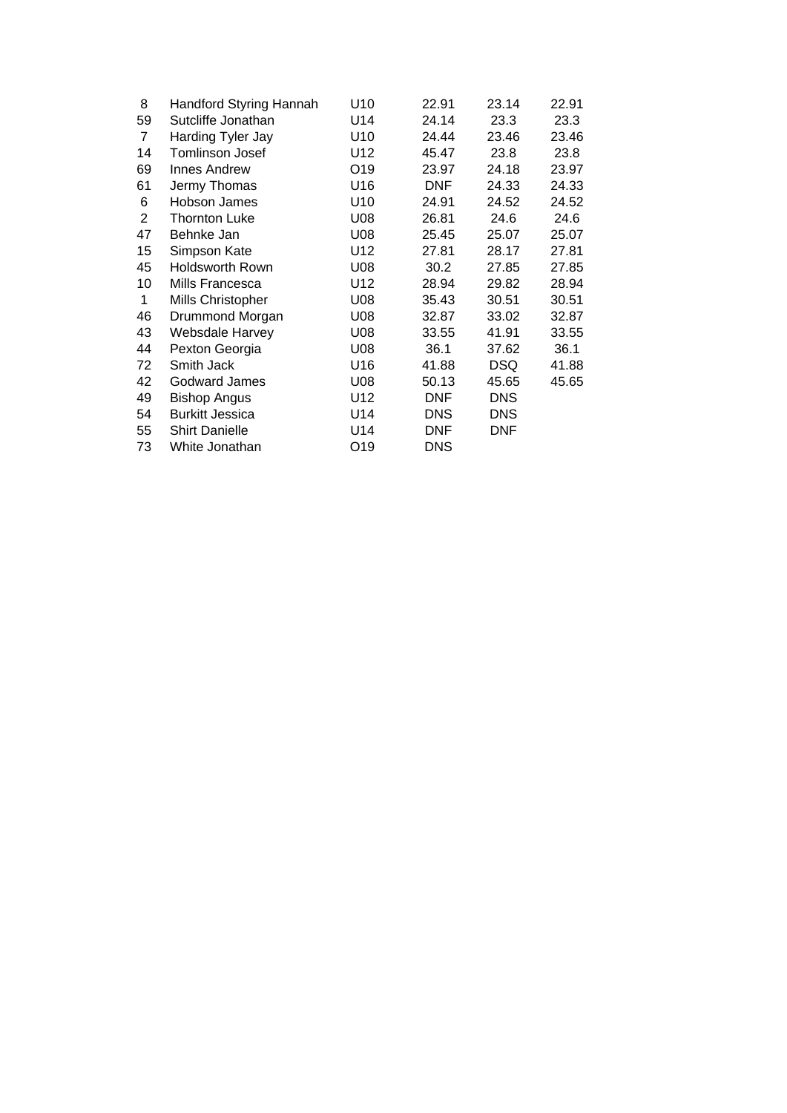| 8              | Handford Styring Hannah | U10 | 22.91      | 23.14      | 22.91 |
|----------------|-------------------------|-----|------------|------------|-------|
| 59             | Sutcliffe Jonathan      | U14 | 24.14      | 23.3       | 23.3  |
| 7              | Harding Tyler Jay       | U10 | 24.44      | 23.46      | 23.46 |
| 14             | <b>Tomlinson Josef</b>  | U12 | 45.47      | 23.8       | 23.8  |
| 69             | Innes Andrew            | O19 | 23.97      | 24.18      | 23.97 |
| 61             | Jermy Thomas            | U16 | <b>DNF</b> | 24.33      | 24.33 |
| 6              | Hobson James            | U10 | 24.91      | 24.52      | 24.52 |
| $\overline{2}$ | <b>Thornton Luke</b>    | U08 | 26.81      | 24.6       | 24.6  |
| 47             | Behnke Jan              | U08 | 25.45      | 25.07      | 25.07 |
| 15             | Simpson Kate            | U12 | 27.81      | 28.17      | 27.81 |
| 45             | Holdsworth Rown         | U08 | 30.2       | 27.85      | 27.85 |
| 10             | Mills Francesca         | U12 | 28.94      | 29.82      | 28.94 |
| 1              | Mills Christopher       | U08 | 35.43      | 30.51      | 30.51 |
| 46             | Drummond Morgan         | U08 | 32.87      | 33.02      | 32.87 |
| 43             | Websdale Harvey         | U08 | 33.55      | 41.91      | 33.55 |
| 44             | Pexton Georgia          | U08 | 36.1       | 37.62      | 36.1  |
| 72             | Smith Jack              | U16 | 41.88      | <b>DSQ</b> | 41.88 |
| 42             | Godward James           | U08 | 50.13      | 45.65      | 45.65 |
| 49             | <b>Bishop Angus</b>     | U12 | <b>DNF</b> | <b>DNS</b> |       |
| 54             | <b>Burkitt Jessica</b>  | U14 | <b>DNS</b> | <b>DNS</b> |       |
| 55             | <b>Shirt Danielle</b>   | U14 | <b>DNF</b> | <b>DNF</b> |       |
| 73             | White Jonathan          | O19 | <b>DNS</b> |            |       |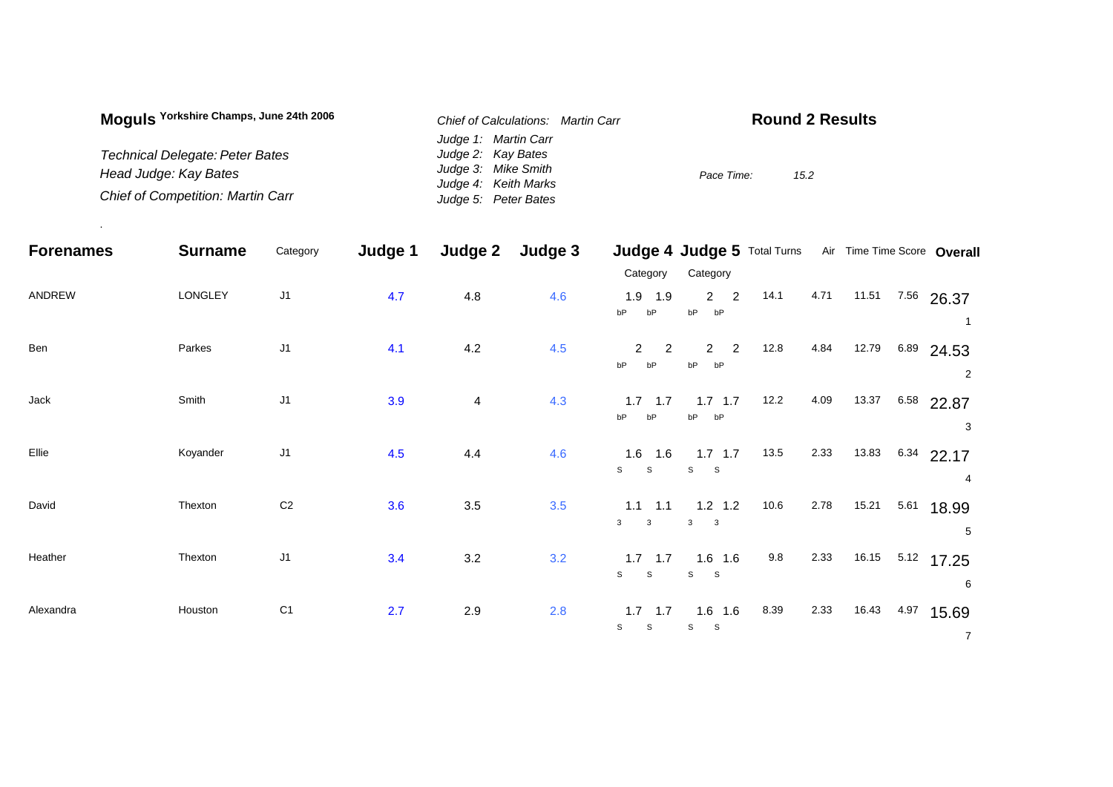| Moguls Yorkshire Champs, June 24th 2006  | Chief of Calculations: Martin Carr | <b>Round 2 Results</b> |
|------------------------------------------|------------------------------------|------------------------|
|                                          | Judge 1: Martin Carr               |                        |
| <b>Technical Delegate: Peter Bates</b>   | Judge 2: Kay Bates                 |                        |
| Head Judge: Kay Bates                    | Judge 3: Mike Smith                | Pace Time:<br>15.2     |
|                                          | Judge 4: Keith Marks               |                        |
| <b>Chief of Competition: Martin Carr</b> | Judge 5: Peter Bates               |                        |

.

| <b>Forenames</b> | <b>Surname</b> | Category       | Judge 1 | Judge 2        | Judge 3 |                                              | Judge 4 Judge 5 Total Turns               |      |      |       | Air Time Time Score Overall |                |
|------------------|----------------|----------------|---------|----------------|---------|----------------------------------------------|-------------------------------------------|------|------|-------|-----------------------------|----------------|
|                  |                |                |         |                |         | Category                                     | Category                                  |      |      |       |                             |                |
| ANDREW           | LONGLEY        | J <sub>1</sub> | 4.7     | 4.8            | 4.6     | 1.9<br>1.9<br>bP<br>bP                       | $2^{\circ}$<br>$\overline{2}$<br>bP<br>bP | 14.1 | 4.71 | 11.51 | 7.56 26.37                  |                |
| Ben              | Parkes         | J <sub>1</sub> | 4.1     | $4.2\,$        | 4.5     | $\overline{2}$<br>$\overline{2}$<br>bP<br>bP | $\overline{2}$<br>$2^{\circ}$<br>bP<br>bP | 12.8 | 4.84 | 12.79 | $6.89$ 24.53                | 2              |
| Jack             | Smith          | J <sub>1</sub> | 3.9     | $\overline{4}$ | 4.3     | $1.7$ 1.7<br>bP<br>bP                        | $1.7$ 1.7<br>bP<br>bP                     | 12.2 | 4.09 | 13.37 | 6.58 22.87                  | 3              |
| Ellie            | Koyander       | J <sub>1</sub> | 4.5     | 4.4            | 4.6     | $1.6$ 1.6<br>$\mathsf{s}$<br>$\mathsf{s}$    | $1.7$ 1.7<br>S S                          | 13.5 | 2.33 | 13.83 | $6.34$ 22.17<br>4           |                |
| David            | Thexton        | C <sub>2</sub> | 3.6     | $3.5\,$        | 3.5     | $1.1$ 1.1<br>$\mathbf{3}$<br>$\mathbf{3}$    | $1.2$ 1.2<br>$3^3$ 3                      | 10.6 | 2.78 | 15.21 | 5.61<br>18.99<br>5          |                |
| Heather          | Thexton        | J <sub>1</sub> | 3.4     | 3.2            | 3.2     | $1.7$ 1.7<br>$\mathsf{s}$<br>$\mathbf{s}$    | $1.6$ 1.6<br>S<br>$\mathbf S$             | 9.8  | 2.33 | 16.15 | $5.12$ 17.25<br>6           |                |
| Alexandra        | Houston        | C <sub>1</sub> | 2.7     | 2.9            | 2.8     | $1.7$ 1.7<br>S<br>$\mathbb S$                | $1.6$ 1.6<br>s<br>$\mathbf{s}$            | 8.39 | 2.33 | 16.43 | 4.97<br>15.69               | $\overline{7}$ |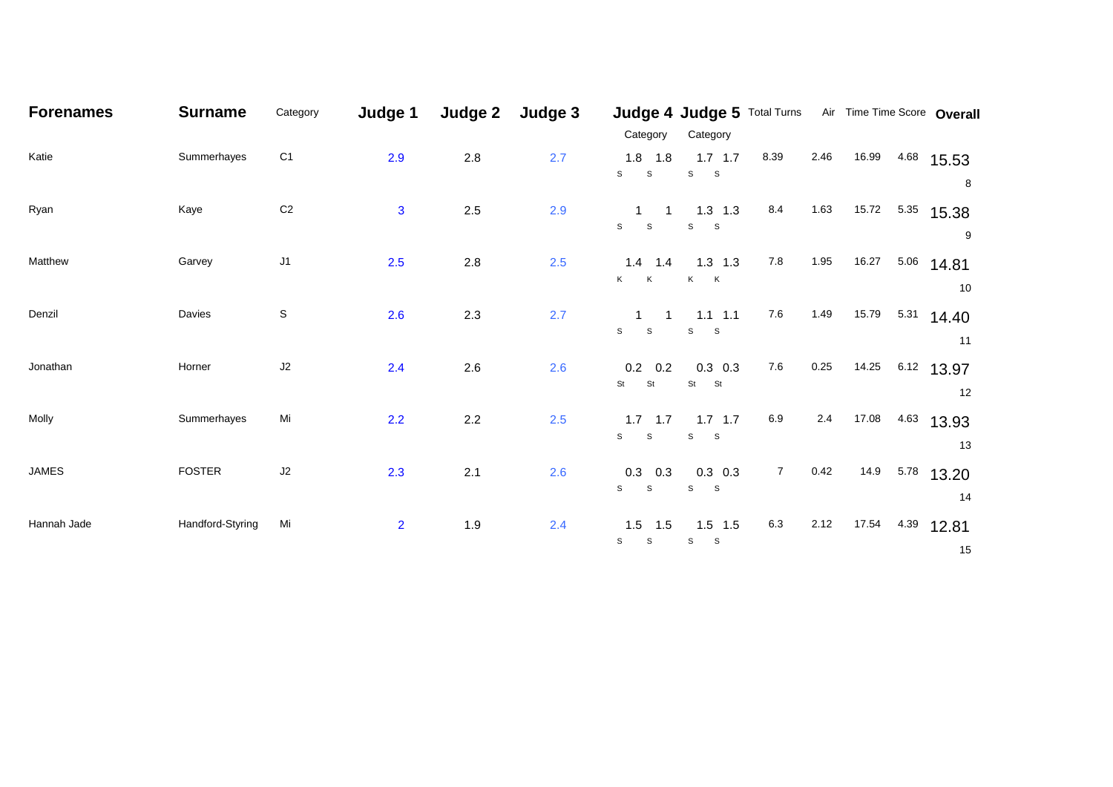| <b>Forenames</b> | <b>Surname</b>   | Category       | Judge 1        | Judge 2 | Judge 3 |                                | Judge 4 Judge 5 Total Turns Air Time Time Score Overall |                |      |       |      |              |
|------------------|------------------|----------------|----------------|---------|---------|--------------------------------|---------------------------------------------------------|----------------|------|-------|------|--------------|
|                  |                  |                |                |         |         | Category                       | Category                                                |                |      |       |      |              |
| Katie            | Summerhayes      | C <sub>1</sub> | 2.9            | $2.8$   | 2.7     | $1.8$ 1.8                      | $1.7$ 1.7                                               | 8.39           | 2.46 | 16.99 |      | 4.68 15.53   |
|                  |                  |                |                |         |         | $\mathsf{s}$<br>${\tt S}$      | S<br>$\mathbf{s}$                                       |                |      |       |      | 8            |
| Ryan             | Kaye             | $\mbox{C2}$    | $\mathbf{3}$   | $2.5\,$ | 2.9     | $\overline{1}$<br>$\mathbf{1}$ | $1.3$ 1.3                                               | 8.4            | 1.63 | 15.72 |      | 5.35 15.38   |
|                  |                  |                |                |         |         | $\mathsf{s}$<br>${\tt S}$      | S<br>$\mathbf{s}$                                       |                |      |       |      | 9            |
| Matthew          | Garvey           | J1             | 2.5            | 2.8     | 2.5     | $1.4$ 1.4                      | $1.3$ 1.3                                               | 7.8            | 1.95 | 16.27 |      | 5.06 14.81   |
|                  |                  |                |                |         |         | K.<br>$\mathsf{K}$             | K K                                                     |                |      |       |      | 10           |
| Denzil           | Davies           | $\mathsf S$    | 2.6            | 2.3     | 2.7     | $\mathbf{1}$<br>$\overline{1}$ | $1.1$ 1.1                                               | $7.6\,$        | 1.49 | 15.79 | 5.31 | 14.40        |
|                  |                  |                |                |         |         | $S$ $S$                        | S<br>$\mathbf{s}$                                       |                |      |       |      | 11           |
| Jonathan         | Horner           | J2             | 2.4            | $2.6\,$ | 2.6     | $0.2\quad 0.2$                 | $0.3$ 0.3                                               | 7.6            | 0.25 | 14.25 |      | $6.12$ 13.97 |
|                  |                  |                |                |         |         | St<br>St                       | St<br>St                                                |                |      |       |      | 12           |
|                  |                  |                |                |         |         |                                |                                                         |                |      |       |      |              |
| Molly            | Summerhayes      | Mi             | 2.2            | $2.2\,$ | 2.5     | $1.7$ 1.7<br>S<br>S            | $1.7$ 1.7<br>S<br>$\mathbf{s}$                          | $6.9\,$        | 2.4  | 17.08 | 4.63 | 13.93        |
|                  |                  |                |                |         |         |                                |                                                         |                |      |       |      | 13           |
| <b>JAMES</b>     | <b>FOSTER</b>    | J2             | 2.3            | 2.1     | 2.6     | $0.3$ 0.3                      | $0.3$ 0.3                                               | $\overline{7}$ | 0.42 | 14.9  |      | $5.78$ 13.20 |
|                  |                  |                |                |         |         | $\mathsf{s}$<br>$\mathsf S$    | $\mathsf{s}$<br>$\mathbf{s}$                            |                |      |       |      | 14           |
| Hannah Jade      | Handford-Styring | Mi             | $\overline{2}$ | 1.9     | 2.4     | $1.5$ 1.5                      | $1.5$ 1.5                                               | 6.3            | 2.12 | 17.54 | 4.39 | 12.81        |
|                  |                  |                |                |         |         | $\mathsf{s}$<br>$\mathsf S$    | $\mathbb S$<br>$\mathsf S$                              |                |      |       |      | 15           |
|                  |                  |                |                |         |         |                                |                                                         |                |      |       |      |              |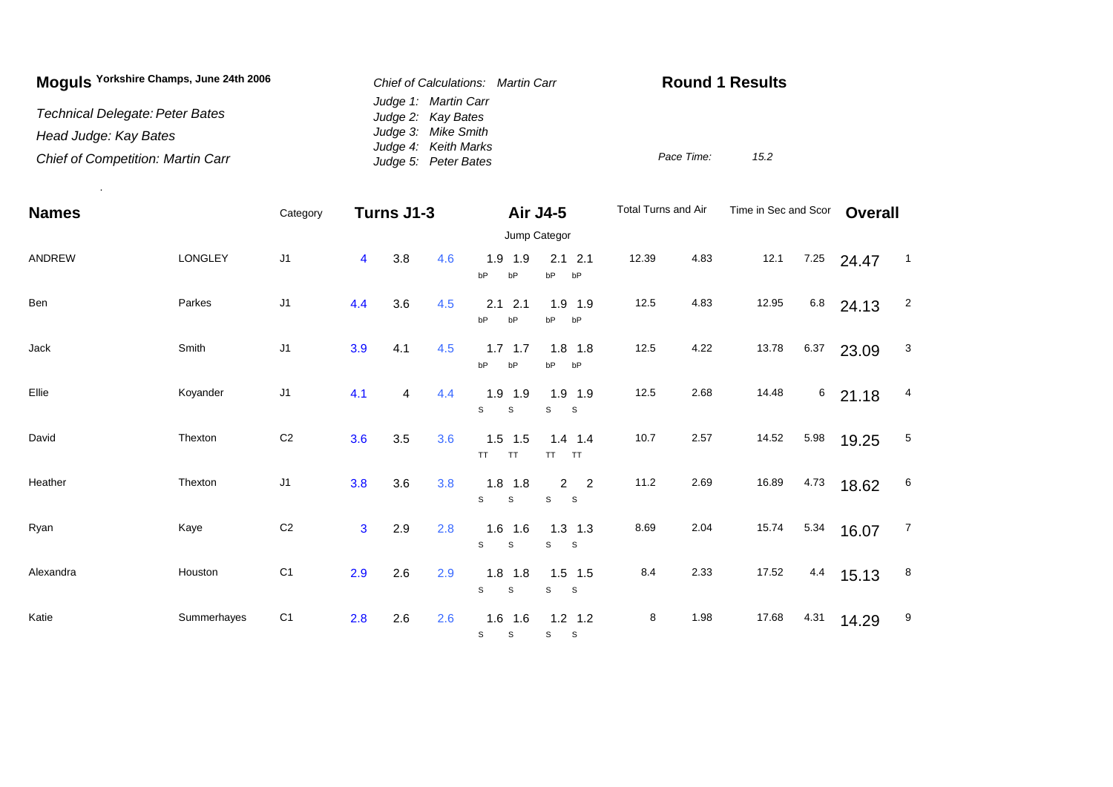| Moguls Yorkshire Champs, June 24th 2006  | Chief of Calculations: Martin Carr           | <b>Round 1 Results</b> |
|------------------------------------------|----------------------------------------------|------------------------|
| Technical Delegate: Peter Bates          | Judge 1: Martin Carr<br>Judge 2: Kay Bates   |                        |
| Head Judge: Kay Bates                    | Judge 3: Mike Smith                          |                        |
| <b>Chief of Competition: Martin Carr</b> | Judge 4: Keith Marks<br>Judge 5: Peter Bates | Pace Time:<br>15.2     |

.

| <b>Names</b> |             | Category       |     | Turns J1-3 |     |                                          | Air J4-5                         | Total Turns and Air |      | Time in Sec and Scor |      | <b>Overall</b> |                            |
|--------------|-------------|----------------|-----|------------|-----|------------------------------------------|----------------------------------|---------------------|------|----------------------|------|----------------|----------------------------|
|              |             |                |     |            |     | Jump Categor                             |                                  |                     |      |                      |      |                |                            |
| ANDREW       | LONGLEY     | J <sub>1</sub> | 4   | 3.8        | 4.6 | 1.9 1.9<br>bP<br>bP                      | $2.1$ 2.1<br>bP<br>bP            | 12.39               | 4.83 | 12.1                 | 7.25 | 24.47          | $\overline{\phantom{0}}$ 1 |
| Ben          | Parkes      | J <sub>1</sub> | 4.4 | 3.6        | 4.5 | 2.1<br>2.1<br>bP<br>bP                   | $1.9$ 1.9<br>bP<br>bP            | 12.5                | 4.83 | 12.95                | 6.8  | 24.13          | $\overline{2}$             |
| Jack         | Smith       | J <sub>1</sub> | 3.9 | 4.1        | 4.5 | $1.7$ 1.7<br>bP<br>bP                    | $1.8$ 1.8<br>bP<br>bP            | 12.5                | 4.22 | 13.78                | 6.37 | 23.09          | $\mathbf{3}$               |
| Ellie        | Koyander    | J <sub>1</sub> | 4.1 | 4          | 4.4 | $1.9$ 1.9<br>S<br>S                      | $1.9$ 1.9<br>S<br>$\mathbf{s}$   | 12.5                | 2.68 | 14.48                | 6    | 21.18          | 4                          |
| David        | Thexton     | C <sub>2</sub> | 3.6 | 3.5        | 3.6 | $1.5$ 1.5<br><b>TT</b><br>TT.            | $1.4$ 1.4<br>TT.<br>TT           | 10.7                | 2.57 | 14.52                | 5.98 | 19.25          | 5                          |
| Heather      | Thexton     | J <sub>1</sub> | 3.8 | 3.6        | 3.8 | $1.8$ 1.8<br>S<br>$\mathbb S$            | $2 \quad 2$<br>S<br>$\mathbf{s}$ | 11.2                | 2.69 | 16.89                | 4.73 | 18.62          | 6                          |
| Ryan         | Kaye        | $\mbox{C2}$    | 3   | 2.9        | 2.8 | $1.6$ 1.6<br>$\mathbf{s}$<br>S           | $1.3$ 1.3<br>S<br>$\mathbf{s}$   | 8.69                | 2.04 | 15.74                | 5.34 | 16.07          | $\overline{7}$             |
| Alexandra    | Houston     | C <sub>1</sub> | 2.9 | 2.6        | 2.9 | $1.8$ 1.8<br>$\mathsf S$<br>$\mathsf{s}$ | $1.5$ 1.5<br>S<br>$\mathbf{s}$   | 8.4                 | 2.33 | 17.52                | 4.4  | 15.13          | 8                          |
| Katie        | Summerhayes | C <sub>1</sub> | 2.8 | 2.6        | 2.6 | $1.6$ 1.6<br>S<br>S                      | $1.2$ 1.2<br>S<br>$\mathbf{s}$   | 8                   | 1.98 | 17.68                | 4.31 | 14.29          | 9                          |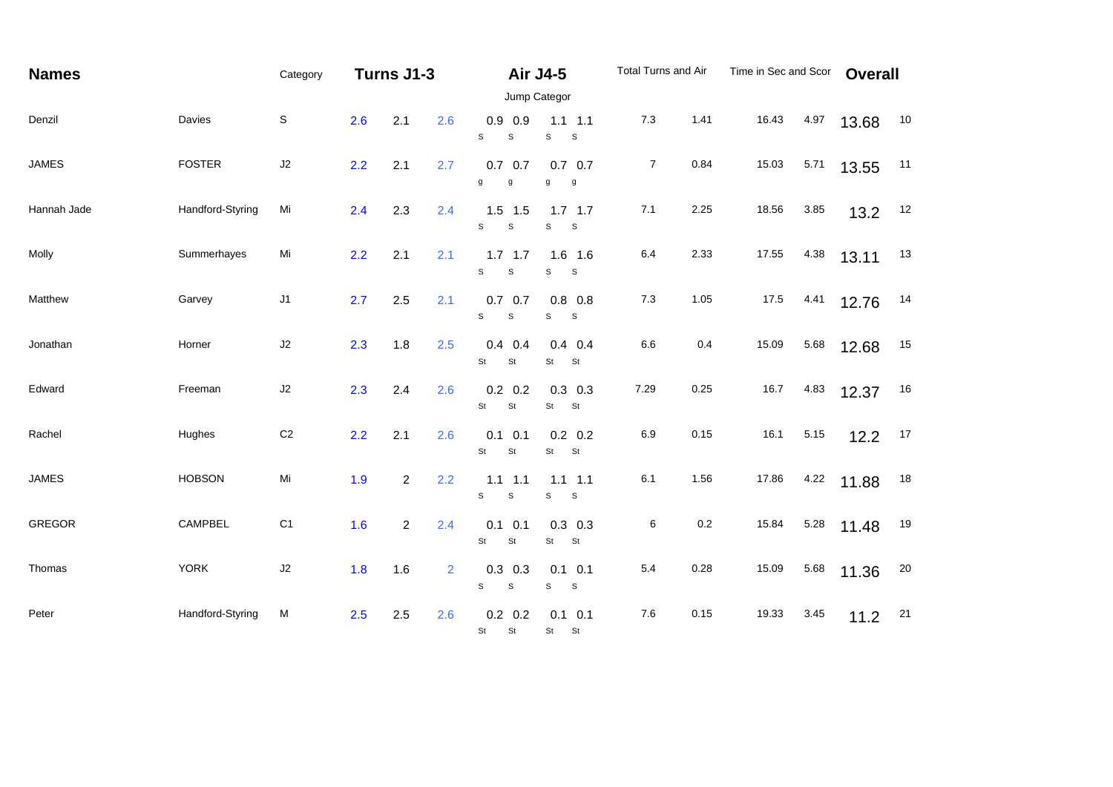| <b>Names</b>  |                  | Category       | Turns J1-3 |                |                | <b>Air J4-5</b>                              |                                         | Total Turns and Air |      | Time in Sec and Scor |      | <b>Overall</b> |    |
|---------------|------------------|----------------|------------|----------------|----------------|----------------------------------------------|-----------------------------------------|---------------------|------|----------------------|------|----------------|----|
|               |                  |                |            |                |                | Jump Categor                                 |                                         |                     |      |                      |      |                |    |
| Denzil        | Davies           | $\mathbb S$    | 2.6        | 2.1            | 2.6            | $0.9$ 0.9<br>S<br>S                          | $1.1$ 1.1<br>S<br>S                     | 7.3                 | 1.41 | 16.43                | 4.97 | 13.68          | 10 |
| <b>JAMES</b>  | <b>FOSTER</b>    | J2             | 2.2        | 2.1            | 2.7            | $0.7\quad 0.7$<br>g<br>$\mathsf g$           | $0.7\quad 0.7$<br>g<br>g                | $\overline{7}$      | 0.84 | 15.03                | 5.71 | 13.55          | 11 |
| Hannah Jade   | Handford-Styring | Mi             | 2.4        | 2.3            | 2.4            | $1.5$ 1.5<br>S<br>S                          | $1.7$ 1.7<br>$\mathbb S$<br>$\mathsf S$ | 7.1                 | 2.25 | 18.56                | 3.85 | 13.2           | 12 |
| Molly         | Summerhayes      | Mi             | 2.2        | 2.1            | 2.1            | $1.7$ 1.7<br>s<br>$\mathsf S$                | $1.6$ 1.6<br>S<br>S                     | 6.4                 | 2.33 | 17.55                | 4.38 | 13.11          | 13 |
| Matthew       | Garvey           | J1             | 2.7        | 2.5            | 2.1            | $0.7\quad 0.7$<br>$\mathbf s$<br>$\mathsf S$ | $0.8$ 0.8<br>S<br>S                     | 7.3                 | 1.05 | 17.5                 | 4.41 | 12.76          | 14 |
| Jonathan      | Horner           | $\sf J2$       | 2.3        | 1.8            | 2.5            | 0.4<br>0.4<br>St<br>St                       | $0.4$ 0.4<br>St<br><b>St</b>            | 6.6                 | 0.4  | 15.09                | 5.68 | 12.68          | 15 |
| Edward        | Freeman          | J2             | 2.3        | 2.4            | 2.6            | $0.2\ 0.2$<br>St<br>St                       | $0.3$ 0.3<br>St<br>St                   | 7.29                | 0.25 | 16.7                 | 4.83 | 12.37          | 16 |
| Rachel        | Hughes           | C <sub>2</sub> | 2.2        | 2.1            | 2.6            | 0.1<br>0.1<br>St<br>St                       | $0.2$ 0.2<br>St<br>St                   | 6.9                 | 0.15 | 16.1                 | 5.15 | 12.2           | 17 |
| <b>JAMES</b>  | <b>HOBSON</b>    | Mi             | 1.9        | $\overline{2}$ | 2.2            | $1.1$ $1.1$<br>S<br>S                        | $1.1$ $1.1$<br>s<br>S                   | 6.1                 | 1.56 | 17.86                | 4.22 | 11.88          | 18 |
| <b>GREGOR</b> | CAMPBEL          | C <sub>1</sub> | 1.6        | $\overline{2}$ | 2.4            | $0.1$ 0.1<br>St<br>St                        | $0.3$ 0.3<br><b>St</b><br>St            | 6                   | 0.2  | 15.84                | 5.28 | 11.48          | 19 |
| Thomas        | <b>YORK</b>      | $\sf J2$       | 1.8        | 1.6            | $\overline{2}$ | $0.3$ 0.3<br>S<br>S                          | $0.1$ 0.1<br>$\mathbb S$<br>S           | 5.4                 | 0.28 | 15.09                | 5.68 | 11.36          | 20 |
| Peter         | Handford-Styring | M              | 2.5        | 2.5            | 2.6            | $0.2\ 0.2$<br>St<br>St                       | $0.1$ 0.1<br>St St                      | 7.6                 | 0.15 | 19.33                | 3.45 | 11.2           | 21 |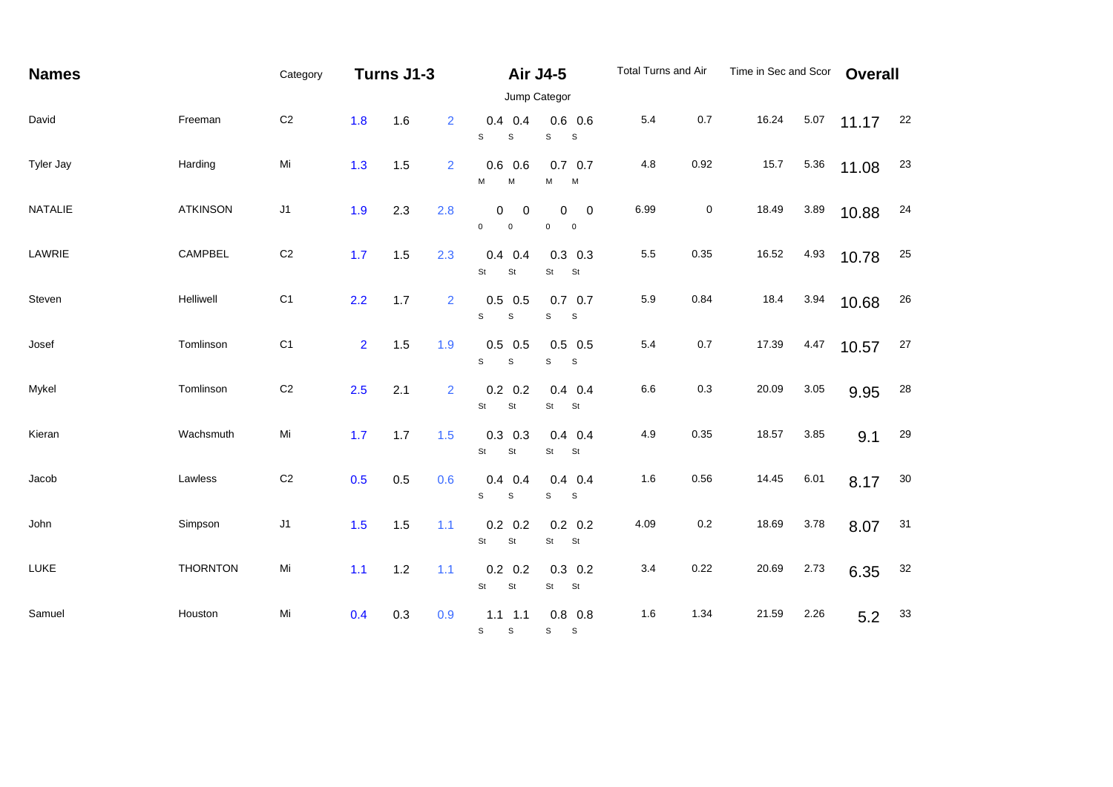| <b>Names</b> |                 | Category       | Turns J1-3     |     |                |                                               | <b>Air J4-5</b>                                   | Total Turns and Air |      | Time in Sec and Scor |      | <b>Overall</b> |    |
|--------------|-----------------|----------------|----------------|-----|----------------|-----------------------------------------------|---------------------------------------------------|---------------------|------|----------------------|------|----------------|----|
|              |                 |                |                |     |                |                                               |                                                   |                     |      |                      |      |                |    |
| David        | Freeman         | C <sub>2</sub> | 1.8            | 1.6 | $\overline{2}$ | $0.4$ 0.4<br>S<br>$\mathbb S$                 | $0.6$ 0.6<br>s<br>$\mathsf{s}$                    | 5.4                 | 0.7  | 16.24                | 5.07 | 11.17          | 22 |
| Tyler Jay    | Harding         | Mi             | 1.3            | 1.5 | $\overline{2}$ | $0.6$ 0.6<br>M<br>M                           | $0.7\quad 0.7$<br>М<br>M                          | 4.8                 | 0.92 | 15.7                 | 5.36 | 11.08          | 23 |
| NATALIE      | <b>ATKINSON</b> | J1             | 1.9            | 2.3 | 2.8            | 0<br>0<br>$\mathsf{O}$<br>$\pmb{0}$           | 0<br>$\mathbf 0$<br>$\mathbf 0$<br>$\overline{0}$ | 6.99                | 0    | 18.49                | 3.89 | 10.88          | 24 |
| LAWRIE       | CAMPBEL         | $\mathsf{C}2$  | 1.7            | 1.5 | 2.3            | 0.4<br>0.4<br>St<br>$\mathsf{St}$             | $0.3$ 0.3<br>St<br>St                             | $5.5\,$             | 0.35 | 16.52                | 4.93 | 10.78          | 25 |
| Steven       | Helliwell       | C <sub>1</sub> | 2.2            | 1.7 | $\overline{2}$ | $0.5\,$<br>0.5<br>s<br>$\mathbf S$            | $0.7\quad 0.7$<br>$\mathbf S$<br>$\mathsf{s}$     | 5.9                 | 0.84 | 18.4                 | 3.94 | 10.68          | 26 |
| Josef        | Tomlinson       | C <sub>1</sub> | 2 <sup>1</sup> | 1.5 | 1.9            | $0.5$ 0.5<br>S<br>$\mathbb S$                 | $0.5$ 0.5<br>$\mathbf S$<br>$\mathsf{s}$          | $5.4\,$             | 0.7  | 17.39                | 4.47 | 10.57          | 27 |
| Mykel        | Tomlinson       | $\mathsf{C}2$  | 2.5            | 2.1 | 2              | $0.2\ 0.2$<br>St<br>St                        | $0.4$ 0.4<br>St<br>St                             | 6.6                 | 0.3  | 20.09                | 3.05 | 9.95           | 28 |
| Kieran       | Wachsmuth       | Mi             | 1.7            | 1.7 | 1.5            | $0.3$ 0.3<br>$\mathsf{St}$<br>St              | $0.4$ 0.4<br>St<br>St                             | 4.9                 | 0.35 | 18.57                | 3.85 | 9.1            | 29 |
| Jacob        | Lawless         | $\mathsf{C}2$  | 0.5            | 0.5 | 0.6            | 0.4<br>0.4<br>$\mathbb S$<br>S                | $0.4$ 0.4<br>s<br>S                               | 1.6                 | 0.56 | 14.45                | 6.01 | 8.17           | 30 |
| John         | Simpson         | J1             | 1.5            | 1.5 | 1.1            | $0.2$ 0.2<br>St<br>St                         | $0.2 \quad 0.2$<br>St<br><b>St</b>                | 4.09                | 0.2  | 18.69                | 3.78 | 8.07           | 31 |
| LUKE         | <b>THORNTON</b> | Mi             | $1.1$          | 1.2 | 1.1            | $0.2$ 0.2<br>St<br>$\mathsf{St}$              | $0.3$ 0.2<br>St<br>St                             | 3.4                 | 0.22 | 20.69                | 2.73 | 6.35           | 32 |
| Samuel       | Houston         | Mi             | 0.4            | 0.3 | 0.9            | $1.1 \quad 1.1$<br>$\mathbb S$<br>$\mathbb S$ | $0.8\ 0.8$<br>S —<br>S                            | 1.6                 | 1.34 | 21.59                | 2.26 | 5.2            | 33 |